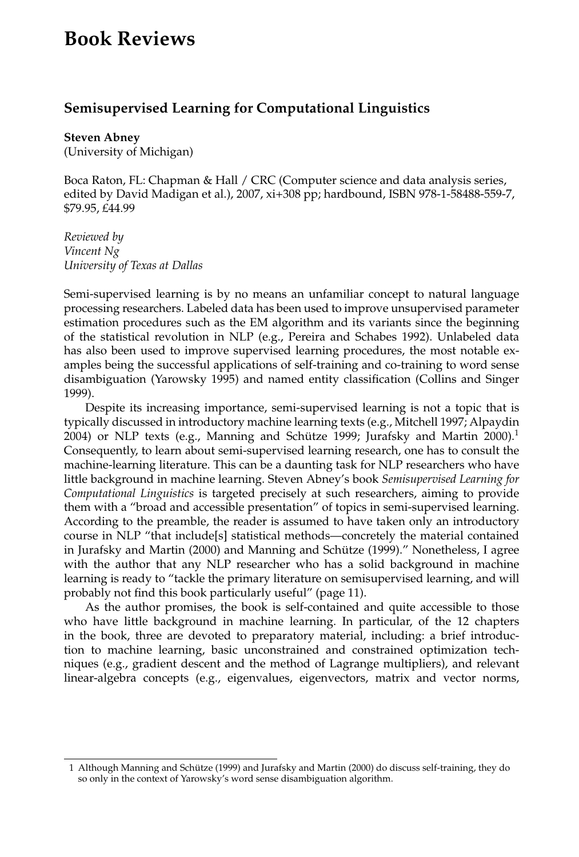## **Book Reviews**

## **Semisupervised Learning for Computational Linguistics**

**Steven Abney** (University of Michigan)

Boca Raton, FL: Chapman & Hall / CRC (Computer science and data analysis series, edited by David Madigan et al.), 2007, xi+308 pp; hardbound, ISBN 978-1-58488-559-7, \$79.95, £44.99

*Reviewed by Vincent Ng University of Texas at Dallas*

Semi-supervised learning is by no means an unfamiliar concept to natural language processing researchers. Labeled data has been used to improve unsupervised parameter estimation procedures such as the EM algorithm and its variants since the beginning of the statistical revolution in NLP (e.g., Pereira and Schabes 1992). Unlabeled data has also been used to improve supervised learning procedures, the most notable examples being the successful applications of self-training and co-training to word sense disambiguation (Yarowsky 1995) and named entity classification (Collins and Singer 1999).

Despite its increasing importance, semi-supervised learning is not a topic that is typically discussed in introductory machine learning texts (e.g., Mitchell 1997; Alpaydin 2004) or NLP texts (e.g., Manning and Schütze 1999; Jurafsky and Martin  $2000$ ).<sup>1</sup> Consequently, to learn about semi-supervised learning research, one has to consult the machine-learning literature. This can be a daunting task for NLP researchers who have little background in machine learning. Steven Abney's book *Semisupervised Learning for Computational Linguistics* is targeted precisely at such researchers, aiming to provide them with a "broad and accessible presentation" of topics in semi-supervised learning. According to the preamble, the reader is assumed to have taken only an introductory course in NLP "that include[s] statistical methods—concretely the material contained in Jurafsky and Martin (2000) and Manning and Schütze (1999)." Nonetheless, I agree with the author that any NLP researcher who has a solid background in machine learning is ready to "tackle the primary literature on semisupervised learning, and will probably not find this book particularly useful" (page 11).

As the author promises, the book is self-contained and quite accessible to those who have little background in machine learning. In particular, of the 12 chapters in the book, three are devoted to preparatory material, including: a brief introduction to machine learning, basic unconstrained and constrained optimization techniques (e.g., gradient descent and the method of Lagrange multipliers), and relevant linear-algebra concepts (e.g., eigenvalues, eigenvectors, matrix and vector norms,

<sup>1</sup> Although Manning and Schutze (1999) and Jurafsky and Martin (2000) do discuss self-training, they do ¨ so only in the context of Yarowsky's word sense disambiguation algorithm.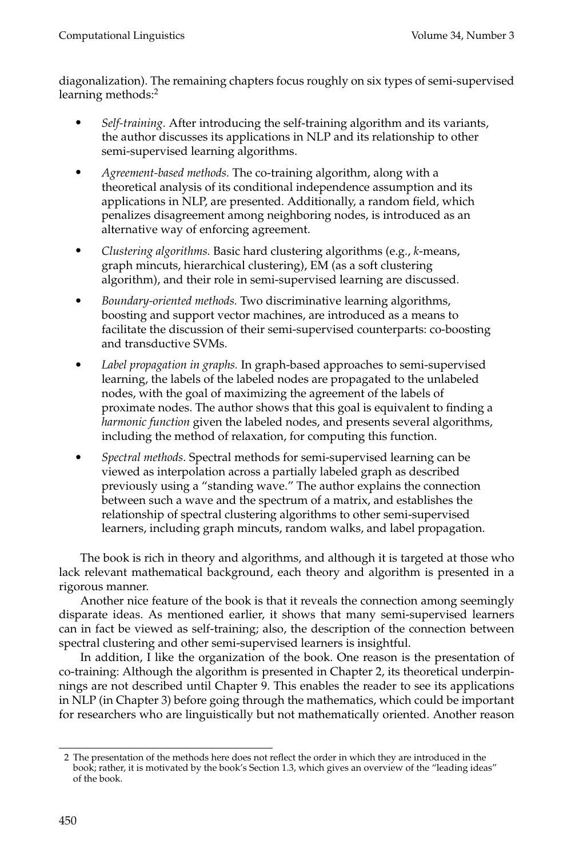diagonalization). The remaining chapters focus roughly on six types of semi-supervised learning methods:<sup>2</sup>

- *Self-training.* After introducing the self-training algorithm and its variants, the author discusses its applications in NLP and its relationship to other semi-supervised learning algorithms.
- *Agreement-based methods.* The co-training algorithm, along with a theoretical analysis of its conditional independence assumption and its applications in NLP, are presented. Additionally, a random field, which penalizes disagreement among neighboring nodes, is introduced as an alternative way of enforcing agreement.
- *Clustering algorithms.* Basic hard clustering algorithms (e.g., *k*-means, graph mincuts, hierarchical clustering), EM (as a soft clustering algorithm), and their role in semi-supervised learning are discussed.
- *Boundary-oriented methods.* Two discriminative learning algorithms, boosting and support vector machines, are introduced as a means to facilitate the discussion of their semi-supervised counterparts: co-boosting and transductive SVMs.
- *Label propagation in graphs.* In graph-based approaches to semi-supervised learning, the labels of the labeled nodes are propagated to the unlabeled nodes, with the goal of maximizing the agreement of the labels of proximate nodes. The author shows that this goal is equivalent to finding a *harmonic function* given the labeled nodes, and presents several algorithms, including the method of relaxation, for computing this function.
- *Spectral methods.* Spectral methods for semi-supervised learning can be viewed as interpolation across a partially labeled graph as described previously using a "standing wave." The author explains the connection between such a wave and the spectrum of a matrix, and establishes the relationship of spectral clustering algorithms to other semi-supervised learners, including graph mincuts, random walks, and label propagation.

The book is rich in theory and algorithms, and although it is targeted at those who lack relevant mathematical background, each theory and algorithm is presented in a rigorous manner.

Another nice feature of the book is that it reveals the connection among seemingly disparate ideas. As mentioned earlier, it shows that many semi-supervised learners can in fact be viewed as self-training; also, the description of the connection between spectral clustering and other semi-supervised learners is insightful.

In addition, I like the organization of the book. One reason is the presentation of co-training: Although the algorithm is presented in Chapter 2, its theoretical underpinnings are not described until Chapter 9. This enables the reader to see its applications in NLP (in Chapter 3) before going through the mathematics, which could be important for researchers who are linguistically but not mathematically oriented. Another reason

<sup>2</sup> The presentation of the methods here does not reflect the order in which they are introduced in the book; rather, it is motivated by the book's Section 1.3, which gives an overview of the "leading ideas" of the book.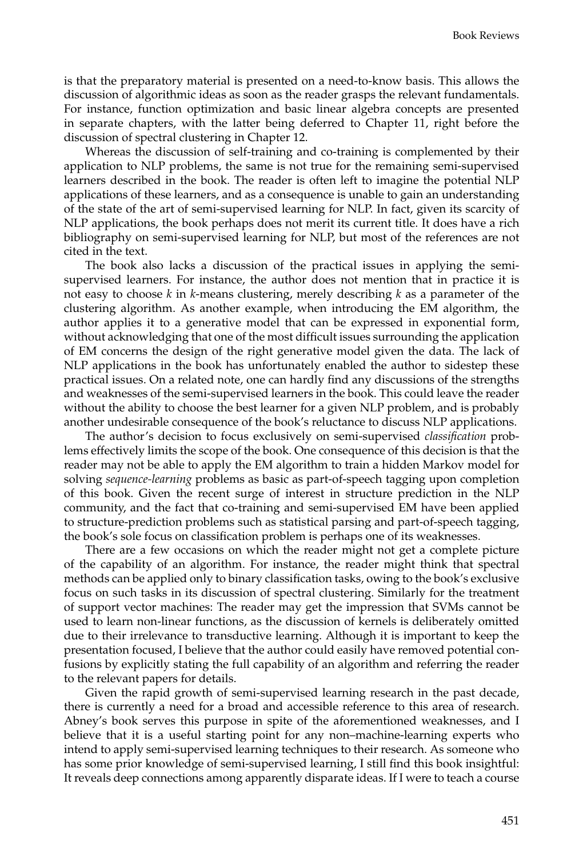is that the preparatory material is presented on a need-to-know basis. This allows the discussion of algorithmic ideas as soon as the reader grasps the relevant fundamentals. For instance, function optimization and basic linear algebra concepts are presented in separate chapters, with the latter being deferred to Chapter 11, right before the discussion of spectral clustering in Chapter 12.

Whereas the discussion of self-training and co-training is complemented by their application to NLP problems, the same is not true for the remaining semi-supervised learners described in the book. The reader is often left to imagine the potential NLP applications of these learners, and as a consequence is unable to gain an understanding of the state of the art of semi-supervised learning for NLP. In fact, given its scarcity of NLP applications, the book perhaps does not merit its current title. It does have a rich bibliography on semi-supervised learning for NLP, but most of the references are not cited in the text.

The book also lacks a discussion of the practical issues in applying the semisupervised learners. For instance, the author does not mention that in practice it is not easy to choose *k* in *k*-means clustering, merely describing *k* as a parameter of the clustering algorithm. As another example, when introducing the EM algorithm, the author applies it to a generative model that can be expressed in exponential form, without acknowledging that one of the most difficult issues surrounding the application of EM concerns the design of the right generative model given the data. The lack of NLP applications in the book has unfortunately enabled the author to sidestep these practical issues. On a related note, one can hardly find any discussions of the strengths and weaknesses of the semi-supervised learners in the book. This could leave the reader without the ability to choose the best learner for a given NLP problem, and is probably another undesirable consequence of the book's reluctance to discuss NLP applications.

The author's decision to focus exclusively on semi-supervised *classification* problems effectively limits the scope of the book. One consequence of this decision is that the reader may not be able to apply the EM algorithm to train a hidden Markov model for solving *sequence-learning* problems as basic as part-of-speech tagging upon completion of this book. Given the recent surge of interest in structure prediction in the NLP community, and the fact that co-training and semi-supervised EM have been applied to structure-prediction problems such as statistical parsing and part-of-speech tagging, the book's sole focus on classification problem is perhaps one of its weaknesses.

There are a few occasions on which the reader might not get a complete picture of the capability of an algorithm. For instance, the reader might think that spectral methods can be applied only to binary classification tasks, owing to the book's exclusive focus on such tasks in its discussion of spectral clustering. Similarly for the treatment of support vector machines: The reader may get the impression that SVMs cannot be used to learn non-linear functions, as the discussion of kernels is deliberately omitted due to their irrelevance to transductive learning. Although it is important to keep the presentation focused, I believe that the author could easily have removed potential confusions by explicitly stating the full capability of an algorithm and referring the reader to the relevant papers for details.

Given the rapid growth of semi-supervised learning research in the past decade, there is currently a need for a broad and accessible reference to this area of research. Abney's book serves this purpose in spite of the aforementioned weaknesses, and I believe that it is a useful starting point for any non–machine-learning experts who intend to apply semi-supervised learning techniques to their research. As someone who has some prior knowledge of semi-supervised learning, I still find this book insightful: It reveals deep connections among apparently disparate ideas. If I were to teach a course